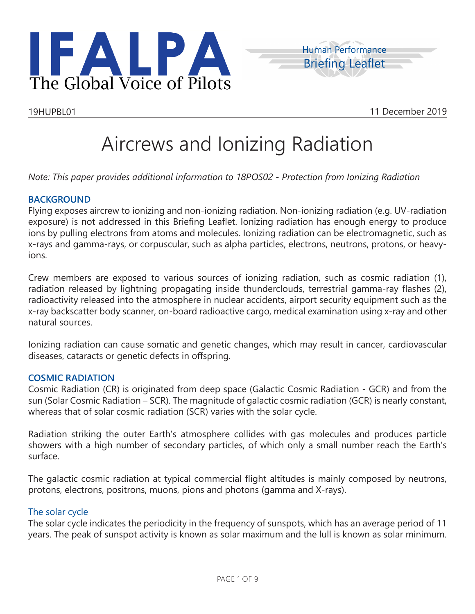



# Aircrews and Ionizing Radiation

*Note: This paper provides additional information to 18POS02 - Protection from Ionizing Radiation*

#### **BACKGROUND**

Flying exposes aircrew to ionizing and non-ionizing radiation. Non-ionizing radiation (e.g. UV-radiation exposure) is not addressed in this Briefing Leaflet. Ionizing radiation has enough energy to produce ions by pulling electrons from atoms and molecules. Ionizing radiation can be electromagnetic, such as x-rays and gamma-rays, or corpuscular, such as alpha particles, electrons, neutrons, protons, or heavyions.

Crew members are exposed to various sources of ionizing radiation, such as cosmic radiation (1), radiation released by lightning propagating inside thunderclouds, terrestrial gamma-ray flashes (2), radioactivity released into the atmosphere in nuclear accidents, airport security equipment such as the x-ray backscatter body scanner, on-board radioactive cargo, medical examination using x-ray and other natural sources.

Ionizing radiation can cause somatic and genetic changes, which may result in cancer, cardiovascular diseases, cataracts or genetic defects in offspring.

#### **COSMIC RADIATION**

Cosmic Radiation (CR) is originated from deep space (Galactic Cosmic Radiation - GCR) and from the sun (Solar Cosmic Radiation – SCR). The magnitude of galactic cosmic radiation (GCR) is nearly constant, whereas that of solar cosmic radiation (SCR) varies with the solar cycle.

Radiation striking the outer Earth's atmosphere collides with gas molecules and produces particle showers with a high number of secondary particles, of which only a small number reach the Earth's surface.

The galactic cosmic radiation at typical commercial flight altitudes is mainly composed by neutrons, protons, electrons, positrons, muons, pions and photons (gamma and X-rays).

#### The solar cycle

The solar cycle indicates the periodicity in the frequency of sunspots, which has an average period of 11 years. The peak of sunspot activity is known as solar maximum and the lull is known as solar minimum.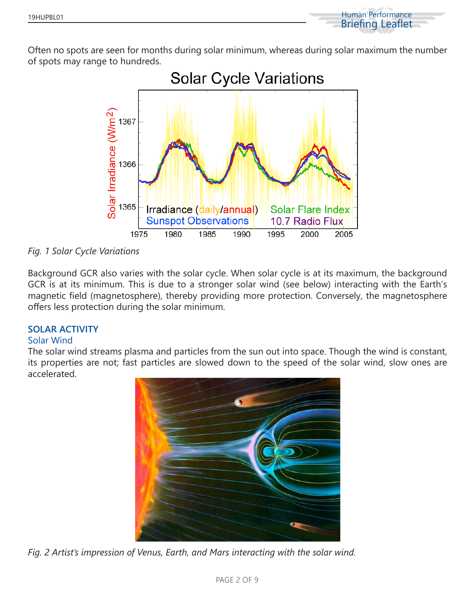

Often no spots are seen for months during solar minimum, whereas during solar maximum the number of spots may range to hundreds.



*Fig. 1 Solar Cycle Variations*

Background GCR also varies with the solar cycle. When solar cycle is at its maximum, the background GCR is at its minimum. This is due to a stronger solar wind (see below) interacting with the Earth's magnetic field (magnetosphere), thereby providing more protection. Conversely, the magnetosphere offers less protection during the solar minimum.

### **SOLAR ACTIVITY**

#### Solar Wind

The solar wind streams plasma and particles from the sun out into space. Though the wind is constant, its properties are not; fast particles are slowed down to the speed of the solar wind, slow ones are accelerated.



*Fig. 2 Artist's impression of Venus, Earth, and Mars interacting with the solar wind.*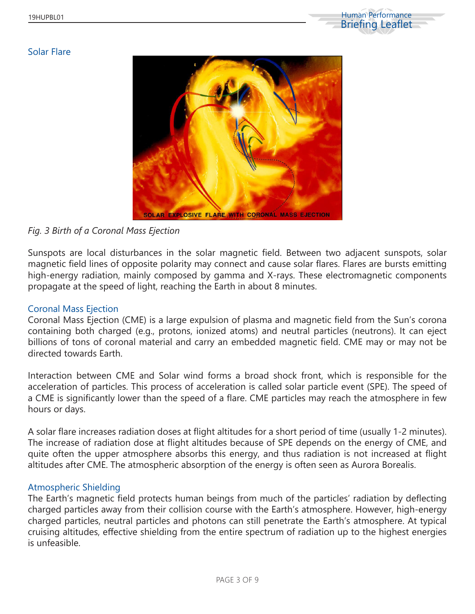

#### Solar Flare



### *Fig. 3 Birth of a Coronal Mass Ejection*

Sunspots are local disturbances in the solar magnetic field. Between two adjacent sunspots, solar magnetic field lines of opposite polarity may connect and cause solar flares. Flares are bursts emitting high-energy radiation, mainly composed by gamma and X-rays. These electromagnetic components propagate at the speed of light, reaching the Earth in about 8 minutes.

#### Coronal Mass Ejection

Coronal Mass Ejection (CME) is a large expulsion of plasma and magnetic field from the Sun's corona containing both charged (e.g., protons, ionized atoms) and neutral particles (neutrons). It can eject billions of tons of coronal material and carry an embedded magnetic field. CME may or may not be directed towards Earth.

Interaction between CME and Solar wind forms a broad shock front, which is responsible for the acceleration of particles. This process of acceleration is called solar particle event (SPE). The speed of a CME is significantly lower than the speed of a flare. CME particles may reach the atmosphere in few hours or days.

A solar flare increases radiation doses at flight altitudes for a short period of time (usually 1-2 minutes). The increase of radiation dose at flight altitudes because of SPE depends on the energy of CME, and quite often the upper atmosphere absorbs this energy, and thus radiation is not increased at flight altitudes after CME. The atmospheric absorption of the energy is often seen as Aurora Borealis.

#### Atmospheric Shielding

The Earth's magnetic field protects human beings from much of the particles' radiation by deflecting charged particles away from their collision course with the Earth's atmosphere. However, high-energy charged particles, neutral particles and photons can still penetrate the Earth's atmosphere. At typical cruising altitudes, effective shielding from the entire spectrum of radiation up to the highest energies is unfeasible.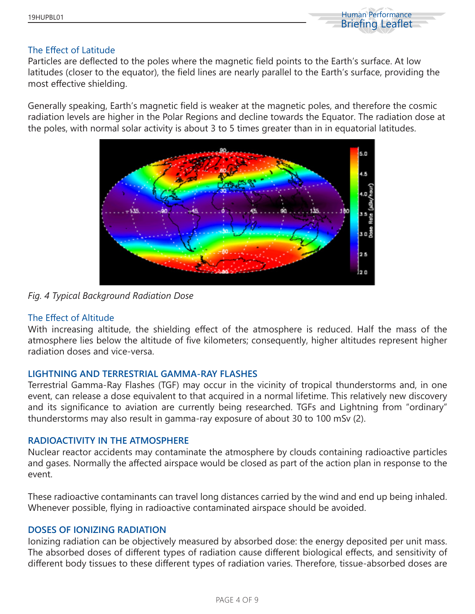

#### The Effect of Latitude

Particles are deflected to the poles where the magnetic field points to the Earth's surface. At low latitudes (closer to the equator), the field lines are nearly parallel to the Earth's surface, providing the most effective shielding.

Generally speaking, Earth's magnetic field is weaker at the magnetic poles, and therefore the cosmic radiation levels are higher in the Polar Regions and decline towards the Equator. The radiation dose at the poles, with normal solar activity is about 3 to 5 times greater than in in equatorial latitudes.



*Fig. 4 Typical Background Radiation Dose*

### The Effect of Altitude

With increasing altitude, the shielding effect of the atmosphere is reduced. Half the mass of the atmosphere lies below the altitude of five kilometers; consequently, higher altitudes represent higher radiation doses and vice-versa.

#### **LIGHTNING AND TERRESTRIAL GAMMA-RAY FLASHES**

Terrestrial Gamma-Ray Flashes (TGF) may occur in the vicinity of tropical thunderstorms and, in one event, can release a dose equivalent to that acquired in a normal lifetime. This relatively new discovery and its significance to aviation are currently being researched. TGFs and Lightning from "ordinary" thunderstorms may also result in gamma-ray exposure of about 30 to 100 mSv (2).

#### **RADIOACTIVITY IN THE ATMOSPHERE**

Nuclear reactor accidents may contaminate the atmosphere by clouds containing radioactive particles and gases. Normally the affected airspace would be closed as part of the action plan in response to the event.

These radioactive contaminants can travel long distances carried by the wind and end up being inhaled. Whenever possible, flying in radioactive contaminated airspace should be avoided.

#### **DOSES OF IONIZING RADIATION**

Ionizing radiation can be objectively measured by absorbed dose: the energy deposited per unit mass. The absorbed doses of different types of radiation cause different biological effects, and sensitivity of different body tissues to these different types of radiation varies. Therefore, tissue-absorbed doses are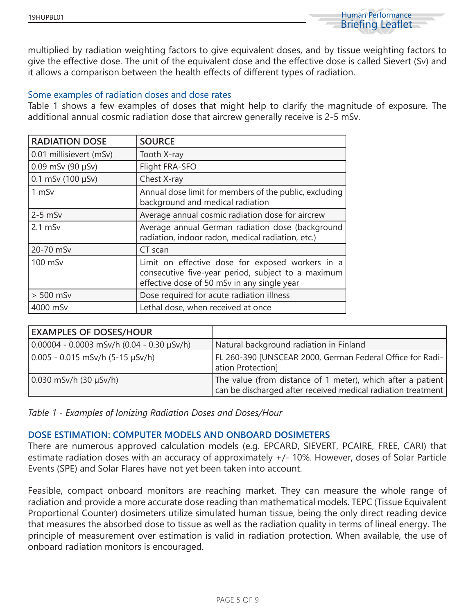

multiplied by radiation weighting factors to give equivalent doses, and by tissue weighting factors to give the effective dose. The unit of the equivalent dose and the effective dose is called Sievert (Sv) and it allows a comparison between the health effects of different types of radiation.

#### Some examples of radiation doses and dose rates

Table 1 shows a few examples of doses that might help to clarify the magnitude of exposure. The additional annual cosmic radiation dose that aircrew generally receive is 2-5 mSv.

| <b>RADIATION DOSE</b>    | <b>SOURCE</b>                                                                                                                                         |
|--------------------------|-------------------------------------------------------------------------------------------------------------------------------------------------------|
| 0.01 millisievert (mSv)  | Tooth X-ray                                                                                                                                           |
| $0.09$ mSv (90 $\mu$ Sv) | Flight FRA-SFO                                                                                                                                        |
| $0.1$ mSv (100 $\mu$ Sv) | Chest X-ray                                                                                                                                           |
| 1 mSv                    | Annual dose limit for members of the public, excluding<br>background and medical radiation                                                            |
| $2-5$ mSv                | Average annual cosmic radiation dose for aircrew                                                                                                      |
| $2.1$ mS $v$             | Average annual German radiation dose (background<br>radiation, indoor radon, medical radiation, etc.)                                                 |
| 20-70 mSv                | CT scan                                                                                                                                               |
| 100 mSv                  | Limit on effective dose for exposed workers in a<br>consecutive five-year period, subject to a maximum<br>effective dose of 50 mSv in any single year |
| $> 500$ mSv              | Dose required for acute radiation illness                                                                                                             |
| 4000 mSv                 | Lethal dose, when received at once                                                                                                                    |

| <b>EXAMPLES OF DOSES/HOUR</b>                     |                                                                                                                             |
|---------------------------------------------------|-----------------------------------------------------------------------------------------------------------------------------|
| $0.00004 - 0.0003$ mSv/h $(0.04 - 0.30 \mu$ Sv/h) | Natural background radiation in Finland                                                                                     |
| $0.005 - 0.015$ mSv/h (5-15 µSv/h)                | FL 260-390 [UNSCEAR 2000, German Federal Office for Radi-<br>ation Protection]                                              |
| $0.030$ mSv/h $(30 \mu Sv/h)$                     | The value (from distance of 1 meter), which after a patient<br>can be discharged after received medical radiation treatment |

*Table 1 - Examples of Ionizing Radiation Doses and Doses/Hour*

#### **DOSE ESTIMATION: COMPUTER MODELS AND ONBOARD DOSIMETERS**

There are numerous approved calculation models (e.g. EPCARD, SIEVERT, PCAIRE, FREE, CARI) that estimate radiation doses with an accuracy of approximately +/- 10%. However, doses of Solar Particle Events (SPE) and Solar Flares have not yet been taken into account.

Feasible, compact onboard monitors are reaching market. They can measure the whole range of radiation and provide a more accurate dose reading than mathematical models. TEPC (Tissue Equivalent Proportional Counter) dosimeters utilize simulated human tissue, being the only direct reading device that measures the absorbed dose to tissue as well as the radiation quality in terms of lineal energy. The principle of measurement over estimation is valid in radiation protection. When available, the use of onboard radiation monitors is encouraged.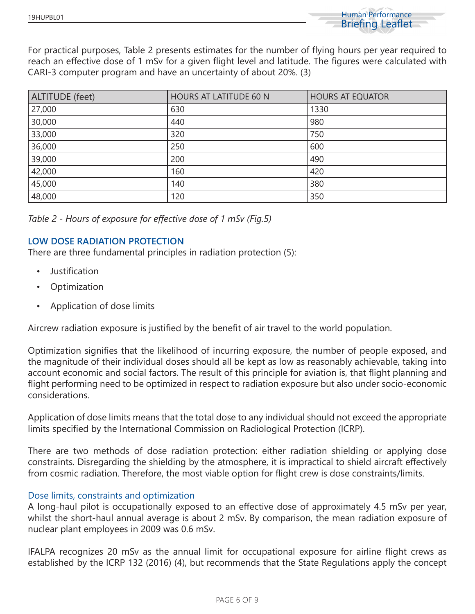

For practical purposes, Table 2 presents estimates for the number of flying hours per year required to reach an effective dose of 1 mSv for a given flight level and latitude. The figures were calculated with CARI-3 computer program and have an uncertainty of about 20%. (3)

| <b>ALTITUDE</b> (feet) | <b>HOURS AT LATITUDE 60 N</b><br><b>HOURS AT EQUATOR</b> |      |
|------------------------|----------------------------------------------------------|------|
| 27,000                 | 630                                                      | 1330 |
| 30,000                 | 440                                                      | 980  |
| 33,000                 | 320                                                      | 750  |
| 36,000                 | 250                                                      | 600  |
| 39,000                 | 200                                                      | 490  |
| 42,000                 | 160                                                      | 420  |
| 45,000                 | 140                                                      | 380  |
| 48,000                 | 120                                                      | 350  |

| Table 2 - Hours of exposure for effective dose of 1 mSv (Fig.5) |  |  |  |  |  |
|-----------------------------------------------------------------|--|--|--|--|--|
|-----------------------------------------------------------------|--|--|--|--|--|

#### **LOW DOSE RADIATION PROTECTION**

There are three fundamental principles in radiation protection (5):

- Justification
- **Optimization**
- Application of dose limits

Aircrew radiation exposure is justified by the benefit of air travel to the world population.

Optimization signifies that the likelihood of incurring exposure, the number of people exposed, and the magnitude of their individual doses should all be kept as low as reasonably achievable, taking into account economic and social factors. The result of this principle for aviation is, that flight planning and flight performing need to be optimized in respect to radiation exposure but also under socio-economic considerations.

Application of dose limits means that the total dose to any individual should not exceed the appropriate limits specified by the International Commission on Radiological Protection (ICRP).

There are two methods of dose radiation protection: either radiation shielding or applying dose constraints. Disregarding the shielding by the atmosphere, it is impractical to shield aircraft effectively from cosmic radiation. Therefore, the most viable option for flight crew is dose constraints/limits.

#### Dose limits, constraints and optimization

A long-haul pilot is occupationally exposed to an effective dose of approximately 4.5 mSv per year, whilst the short-haul annual average is about 2 mSv. By comparison, the mean radiation exposure of nuclear plant employees in 2009 was 0.6 mSv.

IFALPA recognizes 20 mSv as the annual limit for occupational exposure for airline flight crews as established by the ICRP 132 (2016) (4), but recommends that the State Regulations apply the concept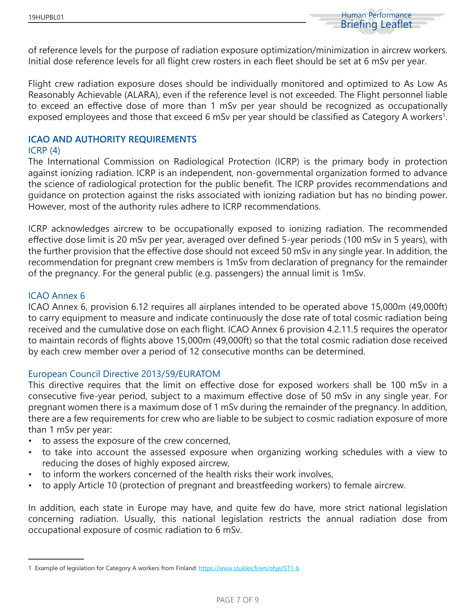

of reference levels for the purpose of radiation exposure optimization/minimization in aircrew workers. Initial dose reference levels for all flight crew rosters in each fleet should be set at 6 mSv per year.

Flight crew radiation exposure doses should be individually monitored and optimized to As Low As Reasonably Achievable (ALARA), even if the reference level is not exceeded. The Flight personnel liable to exceed an effective dose of more than 1 mSv per year should be recognized as occupationally exposed employees and those that exceed 6 mSv per year should be classified as Category A workers<sup>1</sup>.

## **ICAO AND AUTHORITY REQUIREMENTS**

#### ICRP (4)

The International Commission on Radiological Protection (ICRP) is the primary body in protection against ionizing radiation. ICRP is an independent, non-governmental organization formed to advance the science of radiological protection for the public benefit. The ICRP provides recommendations and guidance on protection against the risks associated with ionizing radiation but has no binding power. However, most of the authority rules adhere to ICRP recommendations.

ICRP acknowledges aircrew to be occupationally exposed to ionizing radiation. The recommended effective dose limit is 20 mSv per year, averaged over defined 5-year periods (100 mSv in 5 years), with the further provision that the effective dose should not exceed 50 mSv in any single year. In addition, the recommendation for pregnant crew members is 1mSv from declaration of pregnancy for the remainder of the pregnancy. For the general public (e.g. passengers) the annual limit is 1mSv.

#### ICAO Annex 6

ICAO Annex 6, provision 6.12 requires all airplanes intended to be operated above 15,000m (49,000ft) to carry equipment to measure and indicate continuously the dose rate of total cosmic radiation being received and the cumulative dose on each flight. ICAO Annex 6 provision 4.2.11.5 requires the operator to maintain records of flights above 15,000m (49,000ft) so that the total cosmic radiation dose received by each crew member over a period of 12 consecutive months can be determined.

### European Council Directive 2013/59/EURATOM

This directive requires that the limit on effective dose for exposed workers shall be 100 mSv in a consecutive five-year period, subject to a maximum effective dose of 50 mSv in any single year. For pregnant women there is a maximum dose of 1 mSv during the remainder of the pregnancy. In addition, there are a few requirements for crew who are liable to be subject to cosmic radiation exposure of more than 1 mSv per year:

- to assess the exposure of the crew concerned,
- to take into account the assessed exposure when organizing working schedules with a view to reducing the doses of highly exposed aircrew,
- to inform the workers concerned of the health risks their work involves,
- to apply Article 10 (protection of pregnant and breastfeeding workers) to female aircrew.

In addition, each state in Europe may have, and quite few do have, more strict national legislation concerning radiation. Usually, this national legislation restricts the annual radiation dose from occupational exposure of cosmic radiation to 6 mSv.

<sup>1</sup> Example of legislation for Category A workers from Finland: https://www.stuklex.fi/en/ohje/ST1-6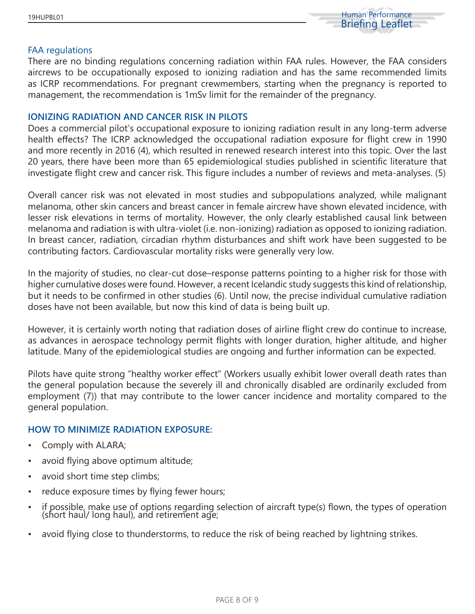

#### FAA regulations

There are no binding regulations concerning radiation within FAA rules. However, the FAA considers aircrews to be occupationally exposed to ionizing radiation and has the same recommended limits as ICRP recommendations. For pregnant crewmembers, starting when the pregnancy is reported to management, the recommendation is 1mSv limit for the remainder of the pregnancy.

#### **IONIZING RADIATION AND CANCER RISK IN PILOTS**

Does a commercial pilot's occupational exposure to ionizing radiation result in any long-term adverse health effects? The ICRP acknowledged the occupational radiation exposure for flight crew in 1990 and more recently in 2016 (4), which resulted in renewed research interest into this topic. Over the last 20 years, there have been more than 65 epidemiological studies published in scientific literature that investigate flight crew and cancer risk. This figure includes a number of reviews and meta-analyses. (5)

Overall cancer risk was not elevated in most studies and subpopulations analyzed, while malignant melanoma, other skin cancers and breast cancer in female aircrew have shown elevated incidence, with lesser risk elevations in terms of mortality. However, the only clearly established causal link between melanoma and radiation is with ultra-violet (i.e. non-ionizing) radiation as opposed to ionizing radiation. In breast cancer, radiation, circadian rhythm disturbances and shift work have been suggested to be contributing factors. Cardiovascular mortality risks were generally very low.

In the majority of studies, no clear-cut dose–response patterns pointing to a higher risk for those with higher cumulative doses were found. However, a recent Icelandic study suggests this kind of relationship, but it needs to be confirmed in other studies (6). Until now, the precise individual cumulative radiation doses have not been available, but now this kind of data is being built up.

However, it is certainly worth noting that radiation doses of airline flight crew do continue to increase, as advances in aerospace technology permit flights with longer duration, higher altitude, and higher latitude. Many of the epidemiological studies are ongoing and further information can be expected.

Pilots have quite strong "healthy worker effect" (Workers usually exhibit lower overall death rates than the general population because the severely ill and chronically disabled are ordinarily excluded from employment (7)) that may contribute to the lower cancer incidence and mortality compared to the general population.

#### **HOW TO MINIMIZE RADIATION EXPOSURE:**

- Comply with ALARA;
- avoid flying above optimum altitude;
- avoid short time step climbs;
- reduce exposure times by flying fewer hours;
- if possible, make use of options regarding selection of aircraft type(s) flown, the types of operation (short haul/ long haul), and retirement age;
- avoid flying close to thunderstorms, to reduce the risk of being reached by lightning strikes.